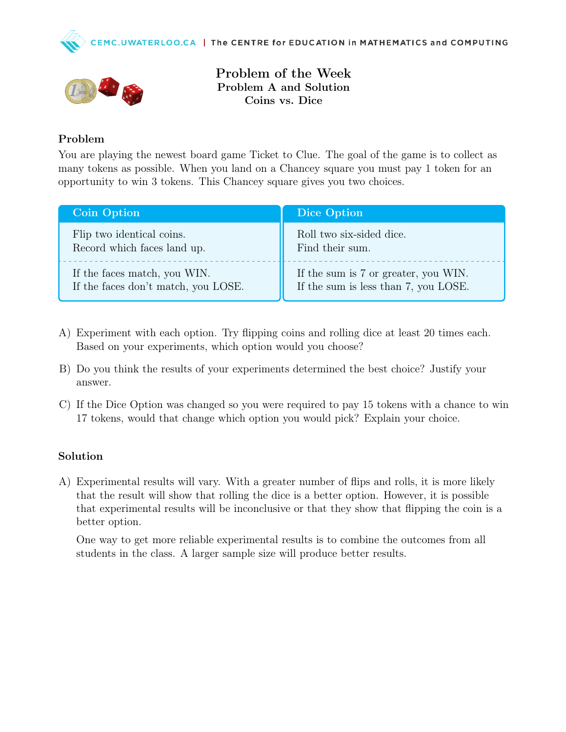



Problem of the Week Problem A and Solution Coins vs. Dice

## Problem

You are playing the newest board game Ticket to Clue. The goal of the game is to collect as many tokens as possible. When you land on a Chancey square you must pay 1 token for an opportunity to win 3 tokens. This Chancey square gives you two choices.

| <b>Coin Option</b>                  | Dice Option                          |
|-------------------------------------|--------------------------------------|
| Flip two identical coins.           | Roll two six-sided dice.             |
| Record which faces land up.         | Find their sum.                      |
| If the faces match, you WIN.        | If the sum is 7 or greater, you WIN. |
| If the faces don't match, you LOSE. | If the sum is less than 7, you LOSE. |

- A) Experiment with each option. Try flipping coins and rolling dice at least 20 times each. Based on your experiments, which option would you choose?
- B) Do you think the results of your experiments determined the best choice? Justify your answer.
- C) If the Dice Option was changed so you were required to pay 15 tokens with a chance to win 17 tokens, would that change which option you would pick? Explain your choice.

## Solution

A) Experimental results will vary. With a greater number of flips and rolls, it is more likely that the result will show that rolling the dice is a better option. However, it is possible that experimental results will be inconclusive or that they show that flipping the coin is a better option.

One way to get more reliable experimental results is to combine the outcomes from all students in the class. A larger sample size will produce better results.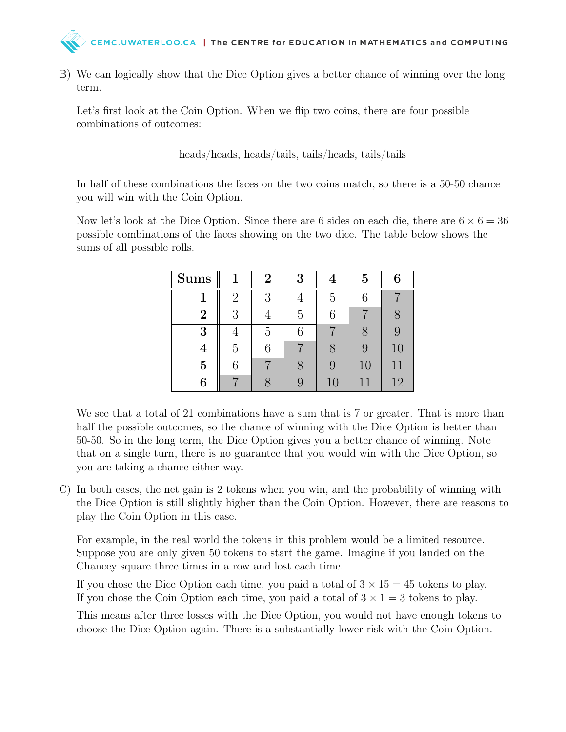

B) We can logically show that the Dice Option gives a better chance of winning over the long term.

Let's first look at the Coin Option. When we flip two coins, there are four possible combinations of outcomes:

heads/heads, heads/tails, tails/heads, tails/tails

In half of these combinations the faces on the two coins match, so there is a 50-50 chance you will win with the Coin Option.

Now let's look at the Dice Option. Since there are 6 sides on each die, there are  $6 \times 6 = 36$ possible combinations of the faces showing on the two dice. The table below shows the sums of all possible rolls.

| <b>Sums</b>    |                | $\overline{2}$ | 3 |          | 5  | 6  |
|----------------|----------------|----------------|---|----------|----|----|
|                | $\overline{2}$ | 3              |   | 5        | 6  |    |
| $\overline{2}$ | 3              |                | 5 | 6        |    |    |
| 3              |                | 5              | 6 |          |    |    |
| 4              | 5              | 6              |   |          |    | 10 |
| 5              |                |                |   | <u>y</u> | 10 |    |
| 6              |                |                |   | 10       |    | 12 |

We see that a total of 21 combinations have a sum that is 7 or greater. That is more than half the possible outcomes, so the chance of winning with the Dice Option is better than 50-50. So in the long term, the Dice Option gives you a better chance of winning. Note that on a single turn, there is no guarantee that you would win with the Dice Option, so you are taking a chance either way.

C) In both cases, the net gain is 2 tokens when you win, and the probability of winning with the Dice Option is still slightly higher than the Coin Option. However, there are reasons to play the Coin Option in this case.

For example, in the real world the tokens in this problem would be a limited resource. Suppose you are only given 50 tokens to start the game. Imagine if you landed on the Chancey square three times in a row and lost each time.

If you chose the Dice Option each time, you paid a total of  $3 \times 15 = 45$  tokens to play. If you chose the Coin Option each time, you paid a total of  $3 \times 1 = 3$  tokens to play.

This means after three losses with the Dice Option, you would not have enough tokens to choose the Dice Option again. There is a substantially lower risk with the Coin Option.